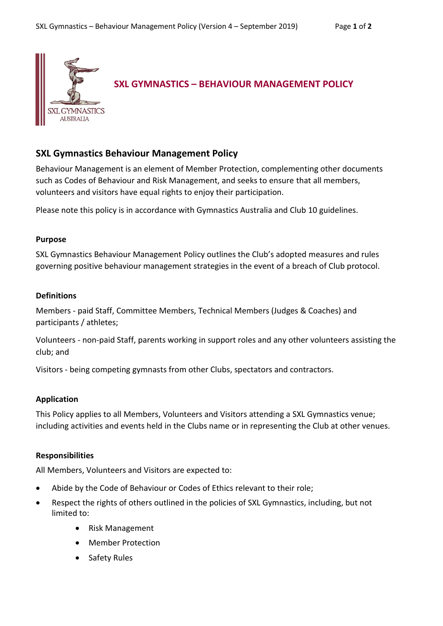

# **SXL Gymnastics Behaviour Management Policy**

Behaviour Management is an element of Member Protection, complementing other documents such as Codes of Behaviour and Risk Management, and seeks to ensure that all members, volunteers and visitors have equal rights to enjoy their participation.

Please note this policy is in accordance with Gymnastics Australia and Club 10 guidelines.

#### **Purpose**

SXL Gymnastics Behaviour Management Policy outlines the Club's adopted measures and rules governing positive behaviour management strategies in the event of a breach of Club protocol.

## **Definitions**

Members - paid Staff, Committee Members, Technical Members (Judges & Coaches) and participants / athletes;

Volunteers - non-paid Staff, parents working in support roles and any other volunteers assisting the club; and

Visitors - being competing gymnasts from other Clubs, spectators and contractors.

## **Application**

This Policy applies to all Members, Volunteers and Visitors attending a SXL Gymnastics venue; including activities and events held in the Clubs name or in representing the Club at other venues.

## **Responsibilities**

All Members, Volunteers and Visitors are expected to:

- Abide by the Code of Behaviour or Codes of Ethics relevant to their role;
- Respect the rights of others outlined in the policies of SXL Gymnastics, including, but not limited to:
	- Risk Management
	- Member Protection
	- Safety Rules